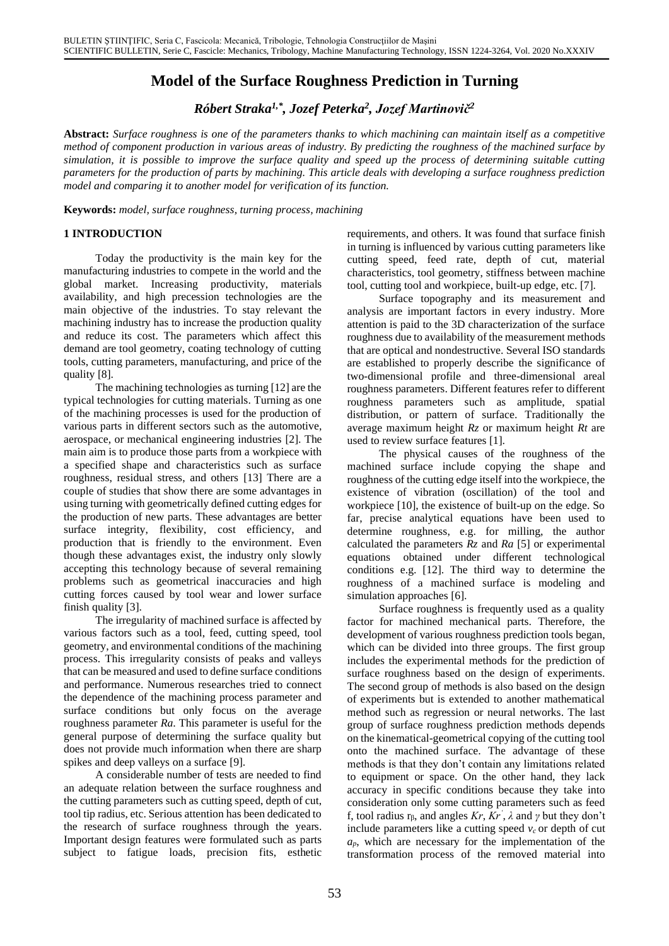# **Model of the Surface Roughness Prediction in Turning**

*Róbert Straka1,\* , Jozef Peterka<sup>2</sup> , Jozef Martinovič<sup>2</sup>*

**Abstract:** *Surface roughness is one of the parameters thanks to which machining can maintain itself as a competitive method of component production in various areas of industry. By predicting the roughness of the machined surface by simulation, it is possible to improve the surface quality and speed up the process of determining suitable cutting parameters for the production of parts by machining. This article deals with developing a surface roughness prediction model and comparing it to another model for verification of its function.*

**Keywords:** *model, surface roughness, turning process, machining*

### **1 INTRODUCTION**

Today the productivity is the main key for the manufacturing industries to compete in the world and the global market. Increasing productivity, materials availability, and high precession technologies are the main objective of the industries. To stay relevant the machining industry has to increase the production quality and reduce its cost. The parameters which affect this demand are tool geometry, coating technology of cutting tools, cutting parameters, manufacturing, and price of the quality [8].

The machining technologies as turning [12] are the typical technologies for cutting materials. Turning as one of the machining processes is used for the production of various parts in different sectors such as the automotive, aerospace, or mechanical engineering industries [2]. The main aim is to produce those parts from a workpiece with a specified shape and characteristics such as surface roughness, residual stress, and others [13] There are a couple of studies that show there are some advantages in using turning with geometrically defined cutting edges for the production of new parts. These advantages are better surface integrity, flexibility, cost efficiency, and production that is friendly to the environment. Even though these advantages exist, the industry only slowly accepting this technology because of several remaining problems such as geometrical inaccuracies and high cutting forces caused by tool wear and lower surface finish quality [3].

The irregularity of machined surface is affected by various factors such as a tool, feed, cutting speed, tool geometry, and environmental conditions of the machining process. This irregularity consists of peaks and valleys that can be measured and used to define surface conditions and performance. Numerous researches tried to connect the dependence of the machining process parameter and surface conditions but only focus on the average roughness parameter *Ra*. This parameter is useful for the general purpose of determining the surface quality but does not provide much information when there are sharp spikes and deep valleys on a surface [9].

A considerable number of tests are needed to find an adequate relation between the surface roughness and the cutting parameters such as cutting speed, depth of cut, tool tip radius, etc. Serious attention has been dedicated to the research of surface roughness through the years. Important design features were formulated such as parts subject to fatigue loads, precision fits, esthetic requirements, and others. It was found that surface finish in turning is influenced by various cutting parameters like cutting speed, feed rate, depth of cut, material characteristics, tool geometry, stiffness between machine tool, cutting tool and workpiece, built-up edge, etc. [7].

Surface topography and its measurement and analysis are important factors in every industry. More attention is paid to the 3D characterization of the surface roughness due to availability of the measurement methods that are optical and nondestructive. Several ISO standards are established to properly describe the significance of two-dimensional profile and three-dimensional areal roughness parameters. Different features refer to different roughness parameters such as amplitude, spatial distribution, or pattern of surface. Traditionally the average maximum height *Rz* or maximum height *Rt* are used to review surface features [1].

The physical causes of the roughness of the machined surface include copying the shape and roughness of the cutting edge itself into the workpiece, the existence of vibration (oscillation) of the tool and workpiece [10], the existence of built-up on the edge. So far, precise analytical equations have been used to determine roughness, e.g. for milling, the author calculated the parameters *Rz* and *Ra* [5] or experimental equations obtained under different technological conditions e.g. [12]. The third way to determine the roughness of a machined surface is modeling and simulation approaches [6].

Surface roughness is frequently used as a quality factor for machined mechanical parts. Therefore, the development of various roughness prediction tools began, which can be divided into three groups. The first group includes the experimental methods for the prediction of surface roughness based on the design of experiments. The second group of methods is also based on the design of experiments but is extended to another mathematical method such as regression or neural networks. The last group of surface roughness prediction methods depends on the kinematical-geometrical copying of the cutting tool onto the machined surface. The advantage of these methods is that they don't contain any limitations related to equipment or space. On the other hand, they lack accuracy in specific conditions because they take into consideration only some cutting parameters such as feed f, tool radius  $r_{\beta}$ , and angles  $Kr, Kr^{\prime}$ ,  $\lambda$  and  $\gamma$  but they don't include parameters like a cutting speed  $v_c$  or depth of cut  $a_p$ , which are necessary for the implementation of the transformation process of the removed material into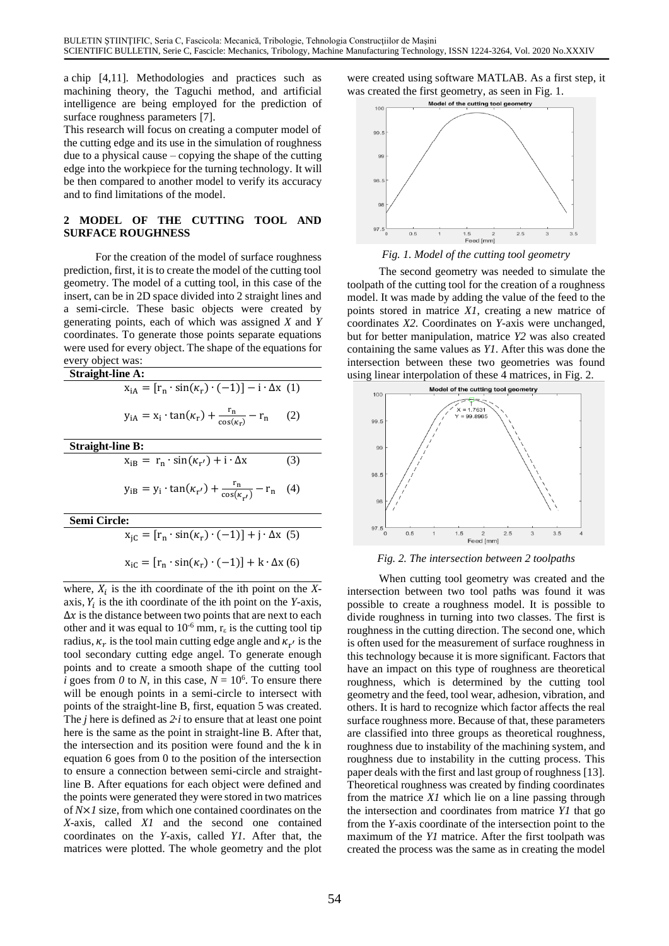a chip [4,11]. Methodologies and practices such as machining theory, the Taguchi method, and artificial intelligence are being employed for the prediction of surface roughness parameters [7].

This research will focus on creating a computer model of the cutting edge and its use in the simulation of roughness due to a physical cause – copying the shape of the cutting edge into the workpiece for the turning technology. It will be then compared to another model to verify its accuracy and to find limitations of the model.

### **2 MODEL OF THE CUTTING TOOL AND SURFACE ROUGHNESS**

For the creation of the model of surface roughness prediction, first, it is to create the model of the cutting tool geometry. The model of a cutting tool, in this case of the insert, can be in 2D space divided into 2 straight lines and a semi-circle. These basic objects were created by generating points, each of which was assigned *X* and *Y* coordinates. To generate those points separate equations were used for every object. The shape of the equations for every object was:

| <b>Straight-line A:</b>                                                          |     |
|----------------------------------------------------------------------------------|-----|
| $x_{iA} = [r_n \cdot \sin(\kappa_r) \cdot (-1)] - i \cdot \Delta x$ (1)          |     |
| $y_{iA} = x_i \cdot \tan(\kappa_r) + \frac{r_n}{\cos(\kappa_r)} - r_n$           | (2) |
| Straight-line B:                                                                 |     |
| $x_{iB} = r_n \cdot \sin(\kappa_{r'}) + i \cdot \Delta x$                        | (3) |
| $y_{iB} = y_i \cdot \tan(\kappa_{r'}) + \frac{r_n}{\cos(\kappa_{r'})} - r_n$ (4) |     |
| Semi Circle:                                                                     |     |
| $x_{iC} = [r_n \cdot \sin(\kappa_r) \cdot (-1)] + j \cdot \Delta x$ (5)          |     |

 $x_{iC} = [r_n \cdot \sin(\kappa_r) \cdot (-1)] + k \cdot \Delta x$  (6)

where,  $X_i$  is the ith coordinate of the ith point on the  $X$ axis,  $Y_i$  is the ith coordinate of the ith point on the *Y*-axis,  $\Delta x$  is the distance between two points that are next to each other and it was equal to 10<sup>-6</sup> mm,  $r_{\epsilon}$  is the cutting tool tip radius,  $\kappa_r$  is the tool main cutting edge angle and  $\kappa_{r'}$  is the tool secondary cutting edge angel. To generate enough points and to create a smooth shape of the cutting tool *i* goes from *0* to *N*, in this case,  $N = 10^6$ . To ensure there will be enough points in a semi-circle to intersect with points of the straight-line B, first, equation 5 was created. The *j* here is defined as *2*∙*i* to ensure that at least one point here is the same as the point in straight-line B. After that, the intersection and its position were found and the k in equation 6 goes from 0 to the position of the intersection to ensure a connection between semi-circle and straightline B. After equations for each object were defined and the points were generated they were stored in two matrices of *N*×*1* size, from which one contained coordinates on the *X*-axis, called *X1* and the second one contained coordinates on the *Y*-axis, called *Y1*. After that, the matrices were plotted. The whole geometry and the plot

were created using software MATLAB. As a first step, it was created the first geometry, as seen in Fig. 1.<br>Model of the cutting tool geometry





The second geometry was needed to simulate the toolpath of the cutting tool for the creation of a roughness model. It was made by adding the value of the feed to the points stored in matrice *X1*, creating a new matrice of coordinates *X2*. Coordinates on *Y*-axis were unchanged, but for better manipulation, matrice *Y2* was also created containing the same values as *Y1*. After this was done the intersection between these two geometries was found using linear interpolation of these 4 matrices, in Fig. 2.



### *Fig. 2. The intersection between 2 toolpaths*

When cutting tool geometry was created and the intersection between two tool paths was found it was possible to create a roughness model. It is possible to divide roughness in turning into two classes. The first is roughness in the cutting direction. The second one, which is often used for the measurement of surface roughness in this technology because it is more significant. Factors that have an impact on this type of roughness are theoretical roughness, which is determined by the cutting tool geometry and the feed, tool wear, adhesion, vibration, and others. It is hard to recognize which factor affects the real surface roughness more. Because of that, these parameters are classified into three groups as theoretical roughness, roughness due to instability of the machining system, and roughness due to instability in the cutting process. This paper deals with the first and last group of roughness [13]. Theoretical roughness was created by finding coordinates from the matrice *X1* which lie on a line passing through the intersection and coordinates from matrice *Y1* that go from the *Y*-axis coordinate of the intersection point to the maximum of the *Y1* matrice. After the first toolpath was created the process was the same as in creating the model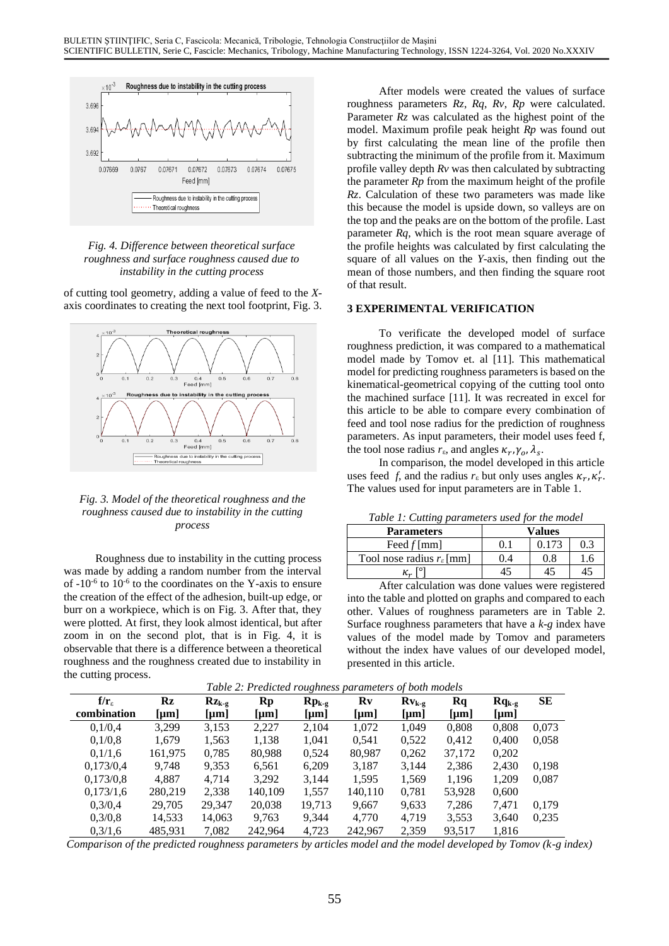

*Fig. 4. Difference between theoretical surface roughness and surface roughness caused due to instability in the cutting process*

of cutting tool geometry, adding a value of feed to the *X*axis coordinates to creating the next tool footprint, Fig. 3.



*Fig. 3. Model of the theoretical roughness and the roughness caused due to instability in the cutting process*

Roughness due to instability in the cutting process was made by adding a random number from the interval of  $-10^{-6}$  to  $10^{-6}$  to the coordinates on the Y-axis to ensure the creation of the effect of the adhesion, built-up edge, or burr on a workpiece, which is on Fig. 3. After that, they were plotted. At first, they look almost identical, but after zoom in on the second plot, that is in Fig. 4, it is observable that there is a difference between a theoretical roughness and the roughness created due to instability in the cutting process.

After models were created the values of surface roughness parameters *Rz*, *Rq*, *Rv*, *Rp* were calculated. Parameter *Rz* was calculated as the highest point of the model. Maximum profile peak height *Rp* was found out by first calculating the mean line of the profile then subtracting the minimum of the profile from it. Maximum profile valley depth *Rv* was then calculated by subtracting the parameter *Rp* from the maximum height of the profile *Rz*. Calculation of these two parameters was made like this because the model is upside down, so valleys are on the top and the peaks are on the bottom of the profile. Last parameter *Rq*, which is the root mean square average of the profile heights was calculated by first calculating the square of all values on the *Y*-axis, then finding out the mean of those numbers, and then finding the square root of that result.

### **3 EXPERIMENTAL VERIFICATION**

To verificate the developed model of surface roughness prediction, it was compared to a mathematical model made by Tomov et. al [11]. This mathematical model for predicting roughness parameters is based on the kinematical-geometrical copying of the cutting tool onto the machined surface [11]. It was recreated in excel for this article to be able to compare every combination of feed and tool nose radius for the prediction of roughness parameters. As input parameters, their model uses feed f, the tool nose radius  $r_{\epsilon}$ , and angles  $\kappa_r$ ,  $\gamma_o$ ,  $\lambda_s$ .

In comparison, the model developed in this article uses feed *f*, and the radius  $r_{\varepsilon}$  but only uses angles  $\kappa_r$ ,  $\kappa'_r$ . The values used for input parameters are in Table 1.

*Table 1: Cutting parameters used for the model*

| <b>Parameters</b>                         | Values |       |     |  |  |  |  |
|-------------------------------------------|--------|-------|-----|--|--|--|--|
| Feed $f$ [mm]                             |        | 0.173 | 0.3 |  |  |  |  |
| Tool nose radius $r_{\varepsilon}$ [mm]   | 0.4    | 0.8   |     |  |  |  |  |
| $\kappa_{r}$                              |        |       |     |  |  |  |  |
| $\mathbf{A}$<br>$\mathbf{r}$<br>$\cdot$ . |        |       |     |  |  |  |  |

After calculation was done values were registered into the table and plotted on graphs and compared to each other. Values of roughness parameters are in Table 2. Surface roughness parameters that have a *k-g* index have values of the model made by Tomov and parameters without the index have values of our developed model, presented in this article.

| Table 2: Preatcled roughness parameters of both models |               |                         |                        |                                                       |                        |            |                        |            |       |
|--------------------------------------------------------|---------------|-------------------------|------------------------|-------------------------------------------------------|------------------------|------------|------------------------|------------|-------|
| $f/r_{\epsilon}$                                       | $\mathbf{R}z$ | $Rz_{k-g}$              | $\mathbf{R}\mathbf{p}$ | $\mathbf{R}\mathbf{p}_{\mathbf{k}\text{-}\mathbf{g}}$ | $\mathbf{R}\mathbf{v}$ | $Rv_{k-g}$ | $\mathbf{R}\mathbf{q}$ | $Rq_{k-g}$ | SЕ    |
| combination                                            | ${\rm [µm]}$  | $\lfloor \mu m \rfloor$ | $\mu$ m                | $\mu$ m                                               | $\lceil \mu m \rceil$  | $\mu$ m    | $\mu$ m                | ${\mu}$ m  |       |
| 0.1/0.4                                                | 3.299         | 3,153                   | 2,227                  | 2,104                                                 | 1,072                  | 1,049      | 0,808                  | 0,808      | 0,073 |
| 0,1/0,8                                                | 1,679         | 1,563                   | 1,138                  | 1,041                                                 | 0,541                  | 0,522      | 0.412                  | 0.400      | 0.058 |
| 0,1/1,6                                                | 161,975       | 0,785                   | 80,988                 | 0,524                                                 | 80,987                 | 0,262      | 37,172                 | 0,202      |       |
| 0,173/0,4                                              | 9.748         | 9,353                   | 6,561                  | 6,209                                                 | 3,187                  | 3,144      | 2,386                  | 2,430      | 0.198 |
| 0,173/0,8                                              | 4.887         | 4,714                   | 3,292                  | 3,144                                                 | 1,595                  | 1,569      | 1,196                  | 1,209      | 0,087 |
| 0,173/1,6                                              | 280,219       | 2,338                   | 140,109                | 1,557                                                 | 140,110                | 0.781      | 53,928                 | 0.600      |       |
| 0.3/0.4                                                | 29,705        | 29,347                  | 20,038                 | 19,713                                                | 9,667                  | 9,633      | 7,286                  | 7.471      | 0,179 |
| 0.3/0.8                                                | 14,533        | 14.063                  | 9,763                  | 9.344                                                 | 4.770                  | 4,719      | 3,553                  | 3,640      | 0.235 |
| 0.3/1.6                                                | 485,931       | 7,082                   | 242,964                | 4,723                                                 | 242,967                | 2,359      | 93.517                 | 1.816      |       |

*Table 2: Predicted roughness parameters of both models*

*Comparison of the predicted roughness parameters by articles model and the model developed by Tomov (k-g index)*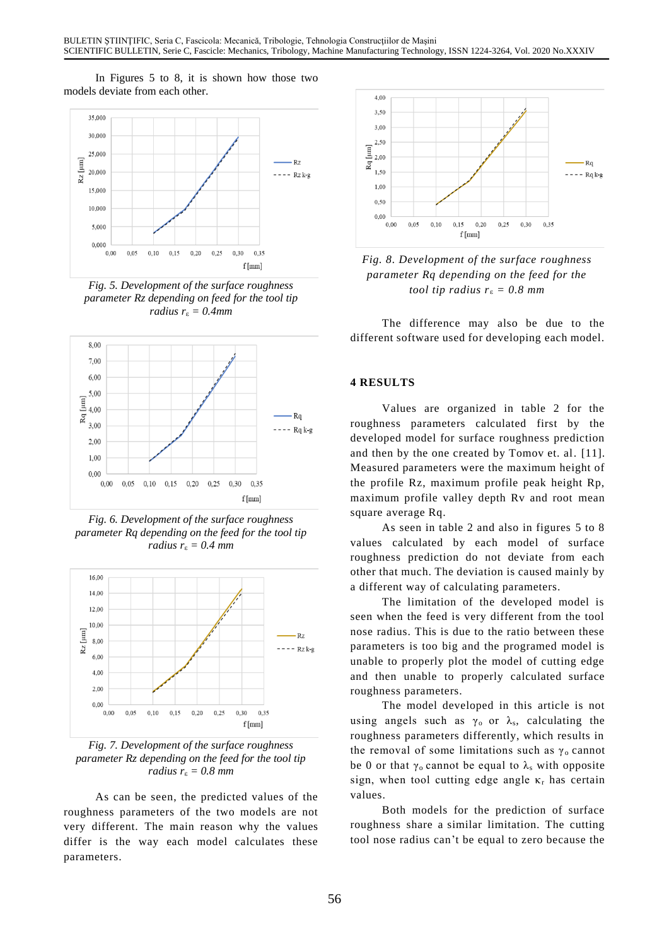In Figures 5 to 8, it is shown how those two models deviate from each other.



*Fig. 5. Development of the surface roughness parameter Rz depending on feed for the tool tip radius r*<sup>ε</sup> *= 0.4mm*



*Fig. 6. Development of the surface roughness parameter Rq depending on the feed for the tool tip radius*  $r_{\epsilon} = 0.4$  *mm* 



*Fig. 7. Development of the surface roughness parameter Rz depending on the feed for the tool tip radius r*<sup>ε</sup> *= 0.8 mm*

As can be seen, the predicted values of the roughness parameters of the two models are not very different. The main reason why the values differ is the way each model calculates these parameters.



*Fig. 8. Development of the surface roughness parameter Rq depending on the feed for the tool tip radius*  $r_{\epsilon} = 0.8$  *mm* 

The difference may also be due to the different software used for developing each model.

### **4 RESULTS**

Values are organized in table 2 for the roughness parameters calculated first by the developed model for surface roughness prediction and then by the one created by Tomov et. al. [11]. Measured parameters were the maximum height of the profile Rz, maximum profile peak height Rp, maximum profile valley depth Rv and root mean square average Rq.

As seen in table 2 and also in figures 5 to 8 values calculated by each model of surface roughness prediction do not deviate from each other that much. The deviation is caused mainly by a different way of calculating parameters.

The limitation of the developed model is seen when the feed is very different from the tool nose radius. This is due to the ratio between these parameters is too big and the programed model is unable to properly plot the model of cutting edge and then unable to properly calculated surface roughness parameters.

The model developed in this article is not using angels such as  $\gamma_0$  or  $\lambda_s$ , calculating the roughness parameters differently, which results in the removal of some limitations such as  $\gamma_0$  cannot be 0 or that  $\gamma_0$  cannot be equal to  $\lambda_s$  with opposite sign, when tool cutting edge angle  $\kappa_r$  has certain values.

Both models for the prediction of surface roughness share a similar limitation. The cutting tool nose radius can't be equal to zero because the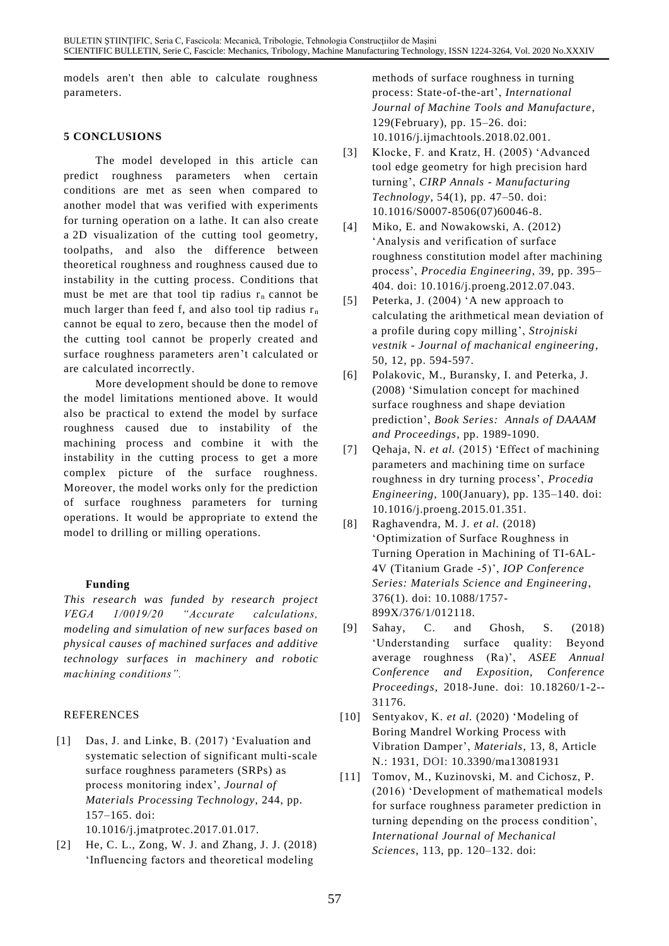models aren't then able to calculate roughness parameters.

### **5 CONCLUSIONS**

The model developed in this article can predict roughness parameters when certain conditions are met as seen when compared to another model that was verified with experiments for turning operation on a lathe. It can also create a 2D visualization of the cutting tool geometry, toolpaths, and also the difference between theoretical roughness and roughness caused due to instability in the cutting process. Conditions that must be met are that tool tip radius  $r_n$  cannot be much larger than feed f, and also tool tip radius  $r_n$ cannot be equal to zero, because then the model of the cutting tool cannot be properly created and surface roughness parameters aren't calculated or are calculated incorrectly.

More development should be done to remove the model limitations mentioned above. It would also be practical to extend the model by surface roughness caused due to instability of the machining process and combine it with the instability in the cutting process to get a more complex picture of the surface roughness. Moreover, the model works only for the prediction of surface roughness parameters for turning operations. It would be appropriate to extend the model to drilling or milling operations.

# **Funding**

*This research was funded by research project VEGA 1/0019/20 "Accurate calculations, modeling and simulation of new surfaces based on physical causes of machined surfaces and additive technology surfaces in machinery and robotic machining conditions".*

# REFERENCES

[1] Das, J. and Linke, B. (2017) 'Evaluation and systematic selection of significant multi-scale surface roughness parameters (SRPs) as process monitoring index', *Journal of Materials Processing Technology*, 244, pp. 157–165. doi:

10.1016/j.jmatprotec.2017.01.017.

[2] He, C. L., Zong, W. J. and Zhang, J. J. (2018) 'Influencing factors and theoretical modeling

methods of surface roughness in turning process: State-of-the-art', *International Journal of Machine Tools and Manufacture*, 129(February), pp. 15–26. doi: 10.1016/j.ijmachtools.2018.02.001.

- [3] Klocke, F. and Kratz, H. (2005) 'Advanced tool edge geometry for high precision hard turning', *CIRP Annals - Manufacturing Technology*, 54(1), pp. 47–50. doi: 10.1016/S0007-8506(07)60046-8.
- [4] Miko, E. and Nowakowski, A. (2012) 'Analysis and verification of surface roughness constitution model after machining process', *Procedia Engineering*, 39, pp. 395– 404. doi: 10.1016/j.proeng.2012.07.043.
- [5] [Peterka, J. \(2004\) 'A new approach to](https://apps.webofknowledge.com/OutboundService.do?SID=F2xkvrO8242qrRp7rqB&mode=rrcAuthorRecordService&action=go&product=WOS&lang=en_US&daisIds=3059321)  [calculating the arithmetical mean deviation of](https://apps.webofknowledge.com/OutboundService.do?SID=F2xkvrO8242qrRp7rqB&mode=rrcAuthorRecordService&action=go&product=WOS&lang=en_US&daisIds=3059321)  [a profile during copy milling'](https://apps.webofknowledge.com/full_record.do?product=WOS&search_mode=CitationReport&qid=2&SID=F2xkvrO8242qrRp7rqB&page=1&doc=7), *[Strojniski](javascript:;)  vestnik - [Journal of machanical engineering](javascript:;)*, 50, 12, pp. 594-597.
- [6] Polakovic, M., Buransky, I. and Peterka, J. (2008) 'Simulation concept for machined surface roughness and shape deviation prediction', *Book Series: Annals of DAAAM and Proceedings*, pp. 1989-1090.
- [7] Qehaja, N. *et al.* (2015) 'Effect of machining parameters and machining time on surface roughness in dry turning process', *Procedia Engineering*, 100(January), pp. 135–140. doi: 10.1016/j.proeng.2015.01.351.
- [8] Raghavendra, M. J. *et al.* (2018) 'Optimization of Surface Roughness in Turning Operation in Machining of TI-6AL-4V (Titanium Grade -5)', *IOP Conference Series: Materials Science and Engineering*, 376(1). doi: 10.1088/1757- 899X/376/1/012118.
- [9] Sahay, C. and Ghosh, S. (2018) 'Understanding surface quality: Beyond average roughness (Ra)', *ASEE Annual Conference and Exposition, Conference Proceedings*, 2018-June. doi: 10.18260/1-2-- 31176.
- [10] [Sentyakov, K.](https://apps.webofknowledge.com/OutboundService.do?SID=F2xkvrO8242qrRp7rqB&mode=rrcAuthorRecordService&action=go&product=WOS&lang=en_US&daisIds=33308319) *et al.* [\(2020\) 'Modeling of](https://apps.webofknowledge.com/OutboundService.do?SID=F2xkvrO8242qrRp7rqB&mode=rrcAuthorRecordService&action=go&product=WOS&lang=en_US&daisIds=33308319)  [Boring Mandrel Working Process with](https://apps.webofknowledge.com/OutboundService.do?SID=F2xkvrO8242qrRp7rqB&mode=rrcAuthorRecordService&action=go&product=WOS&lang=en_US&daisIds=33308319)  [Vibration Damper'](https://apps.webofknowledge.com/full_record.do?product=WOS&search_mode=CitationReport&qid=2&SID=F2xkvrO8242qrRp7rqB&page=1&doc=10), *Materials*, 13, 8, Article N.: 1931, DOI: 10.3390/ma13081931
- [11] Tomov, M., Kuzinovski, M. and Cichosz, P. (2016) 'Development of mathematical models for surface roughness parameter prediction in turning depending on the process condition', *International Journal of Mechanical Sciences*, 113, pp. 120–132. doi: